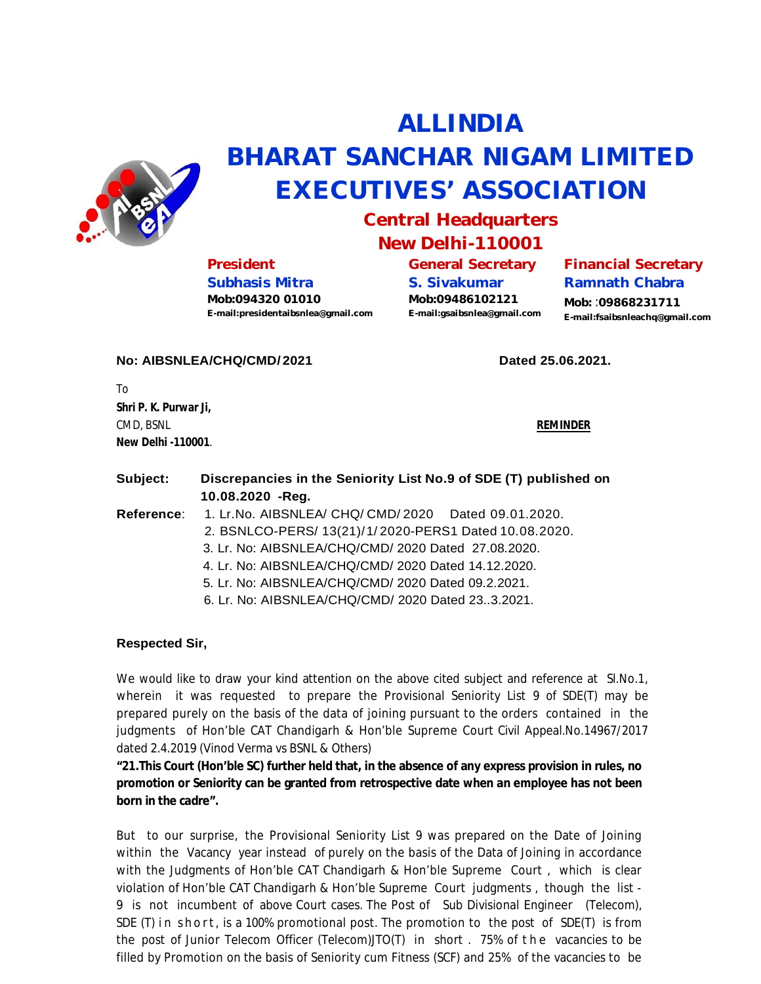

# **ALLINDIA BHARAT SANCHAR NIGAM LIMITED EXECUTIVES' ASSOCIATION**

## **Central Headquarters New Delhi-110001**

## **President**

**Subhasis Mitra Mob:094320 01010 [E-mail:presidentaibsnlea@gmail.com](mailto:E-mail:presidentaibsnlea@gmail.com)** **General Secretary S. Sivakumar Mob:09486102121 [E-mail:gsaibsnlea@gmail.com](mailto:E-mail:gsaibsnlea@gmail.com)**

#### **Financial Secretary Ramnath Chabra**

**Mob:** :**09868231711 [E-mail:fsaibsnleachq@gmail.com](mailto:E-mail:fsaibsnleachq@gmail.com)**

### **No: AIBSNLEA/CHQ/CMD/ 2021 Dated 25.06.2021.**

To **Shri P. K. Purwar Ji,** CMD, BSNL **REMINDER New Delhi -110001**.

| Subject:   | Discrepancies in the Seniority List No.9 of SDE (T) published on<br>10.08.2020 - Reg. |
|------------|---------------------------------------------------------------------------------------|
| Reference: | 1. Lr. No. AIBSNLEA/ CHQ/ CMD/ 2020 Dated 09.01.2020.                                 |
|            | 2. BSNLCO-PERS/ 13(21)/1/2020-PERS1 Dated 10.08.2020.                                 |
|            | 3. Lr. No: AIBSNLEA/CHQ/CMD/ 2020 Dated 27.08.2020.                                   |
|            | 4. Lr. No: AIBSNLEA/CHQ/CMD/ 2020 Dated 14.12.2020.                                   |
|            | 5. Lr. No: AIBSNLEA/CHQ/CMD/ 2020 Dated 09.2.2021.                                    |
|            |                                                                                       |

#### 6. Lr. No: AIBSNLEA/CHQ/CMD/ 2020 Dated 23..3.2021.

#### **Respected Sir,**

We would like to draw your kind attention on the above cited subject and reference at SI.No.1, wherein it was requested to prepare the Provisional Seniority List 9 of SDE(T) may be prepared purely on the basis of the data of joining pursuant to the orders contained in the judgments of Hon'ble CAT Chandigarh & Hon'ble Supreme Court Civil Appeal.No.14967/2017 dated 2.4.2019 (Vinod Verma vs BSNL & Others)

**"21.This Court (Hon'ble SC) further held that, in the absence of any express provision in rules, no promotion or Seniority can be granted from retrospective date when an employee has not been born in the cadre".**

But to our surprise, the Provisional Seniority List 9 was prepared on the Date of Joining within the Vacancy year instead of purely on the basis of the Data of Joining in accordance with the Judgments of Hon'ble CAT Chandigarh & Hon'ble Supreme Court, which is clear violation of Hon'ble CAT Chandigarh & Hon'ble Supreme Court judgments , though the list - 9 is not incumbent of above Court cases. The Post of Sub Divisional Engineer (Telecom), SDE (T) in short, is a 100% promotional post. The promotion to the post of SDE(T) is from the post of Junior Telecom Officer (Telecom)JTO(T) in short . 75% of the vacancies to be filled by Promotion on the basis of Seniority cum Fitness (SCF) and 25% of the vacancies to be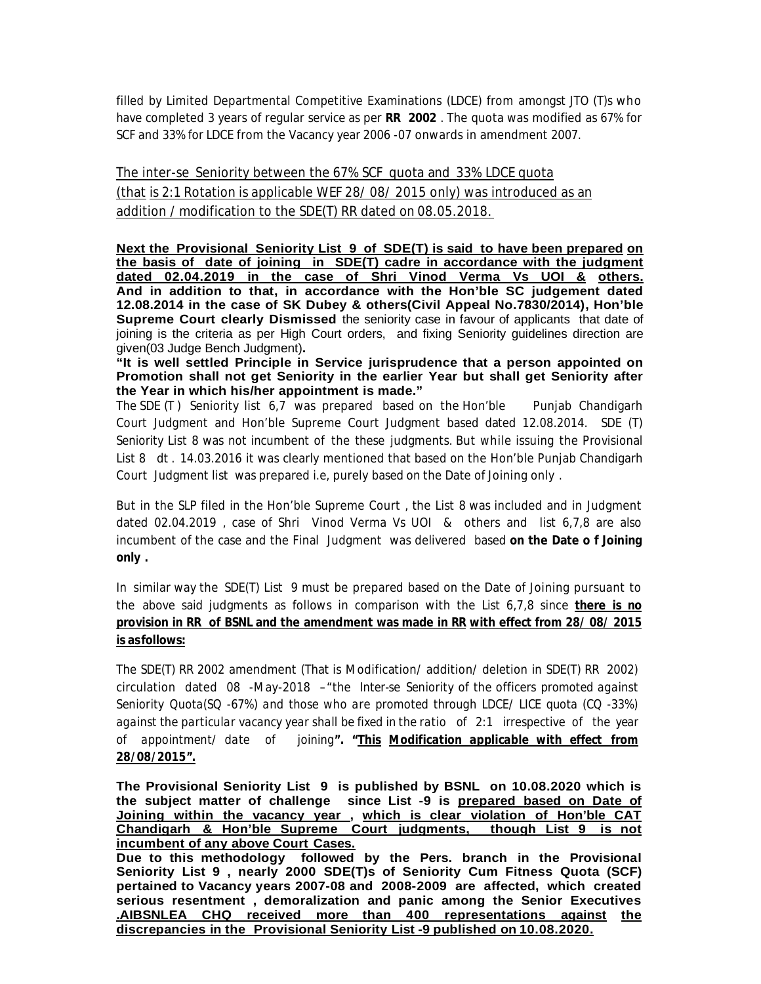filled by Limited Departmental Competitive Examinations (LDCE) from amongst JTO (T)s who have completed 3 years of regular service as per **RR 2002** . The quota was modified as 67% for SCF and 33% for LDCE from the Vacancy year 2006 -07 onwards in amendment 2007.

The inter-se Seniority between the 67% SCF quota and 33% LDCE quota (that is 2:1 Rotation is applicable WEF 28/ 08/ 2015 only) was introduced as an addition / modification to the SDE(T) RR dated on 08.05.2018.

**Next the Provisional Seniority List 9 of SDE(T) is said to have been prepared on the basis of date of joining in SDE(T) cadre in accordance with the judgment dated 02.04.2019 in the case of Shri Vinod Verma Vs UOI & others. And in addition to that, in accordance with the Hon'ble SC judgement dated 12.08.2014 in the case of SK Dubey & others(Civil Appeal No.7830/2014), Hon'ble Supreme Court clearly Dismissed** the seniority case in favour of applicants that date of joining is the criteria as per High Court orders, and fixing Seniority guidelines direction are given(03 Judge Bench Judgment)**.**

**"It is well settled Principle in Service jurisprudence that a person appointed on Promotion shall not get Seniority in the earlier Year but shall get Seniority after the Year in which his/her appointment is made."**

The SDE (T) Seniority list 6.7 was prepared based on the Hon'ble Punjab Chandigarh Court Judgment and Hon'ble Supreme Court Judgment based dated 12.08.2014. SDE (T) Seniority List 8 was not incumbent of the these judgments. But while issuing the Provisional List 8 dt . 14.03.2016 it was clearly mentioned that based on the Hon'ble Punjab Chandigarh Court Judgment list was prepared i.e, purely based on the Date of Joining only .

But in the SLP filed in the Hon'ble Supreme Court , the List 8 was included and in Judgment dated 02.04.2019 , case of Shri Vinod Verma Vs UOI & others and list 6,7,8 are also incumbent of the case and the Final Judgment was delivered based **on the Date o f Joining only .**

In similar way the SDE(T) List 9 must be prepared based on the Date of Joining pursuant to the above said judgments as follows in comparison with the List 6,7,8 since **there is no provision in RR of BSNL and the amendment was made in RR with effect from 28/ 08/ 2015 is asfollows:**

The SDE(T) RR 2002 amendment (That is Modification/ addition/ deletion in SDE(T) RR 2002) circulation dated 08 -May-2018 –"*the Inter-se Seniority of the officers promoted against Seniority Quota(SQ -67%) and those who are promoted through LDCE/ LICE quota (CQ -33%) against the particular vacancy year shall be fixed in the ratio of 2:1 irrespective of the year of appointment/ date of joining"***. "***This Modification applicable with effect from 28/08/2015".*

**The Provisional Seniority List 9 is published by BSNL on 10.08.2020 which is the subject matter of challenge since List -9 is prepared based on Date of Joining within the vacancy year , which is clear violation of Hon'ble CAT Chandigarh & Hon'ble Supreme Court judgments, though List 9 is not incumbent of any above Court Cases.**

**Due to this methodology followed by the Pers. branch in the Provisional Seniority List 9 , nearly 2000 SDE(T)s of Seniority Cum Fitness Quota (SCF) pertained to Vacancy years 2007-08 and 2008-2009 are affected, which created serious resentment , demoralization and panic among the Senior Executives .AIBSNLEA CHQ received more than 400 representations against the discrepancies in the Provisional Seniority List -9 published on 10.08.2020.**